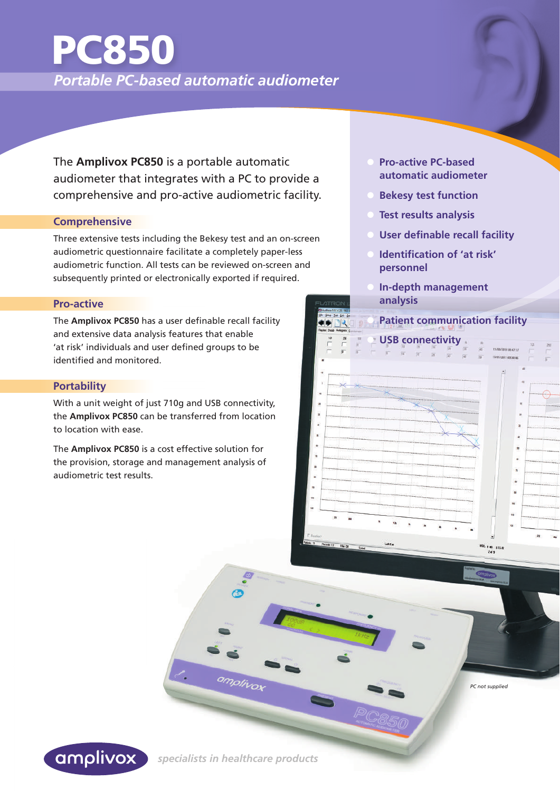## *Portable PC-based automatic audiometer* PC850

The **Amplivox PC850** is a portable automatic audiometer that integrates with a PC to provide a comprehensive and pro-active audiometric facility.

#### **Comprehensive**

Three extensive tests including the Bekesy test and an on-screen audiometric questionnaire facilitate a completely paper-less audiometric function. All tests can be reviewed on-screen and subsequently printed or electronically exported if required.

#### **Pro-active**

The **Amplivox PC850** has a user definable recall facility and extensive data analysis features that enable 'at risk' individuals and user defined groups to be identified and monitored.

#### **Portability**

With a unit weight of just 710g and USB connectivity, the **Amplivox PC850** can be transferred from location to location with ease.

The **Amplivox PC850** is a cost effective solution for the provision, storage and management analysis of audiometric test results.

- **Pro-active PC-based automatic audiometer**
- **Bekesy test function**
- **Test results analysis**
- **User definable recall facility**
- **Identification of 'at risk' personnel**
- **In-depth management analysis**

## **• Patient communication facility**



*PC not supplied*



 *specialists in healthcare products* 

amplivox